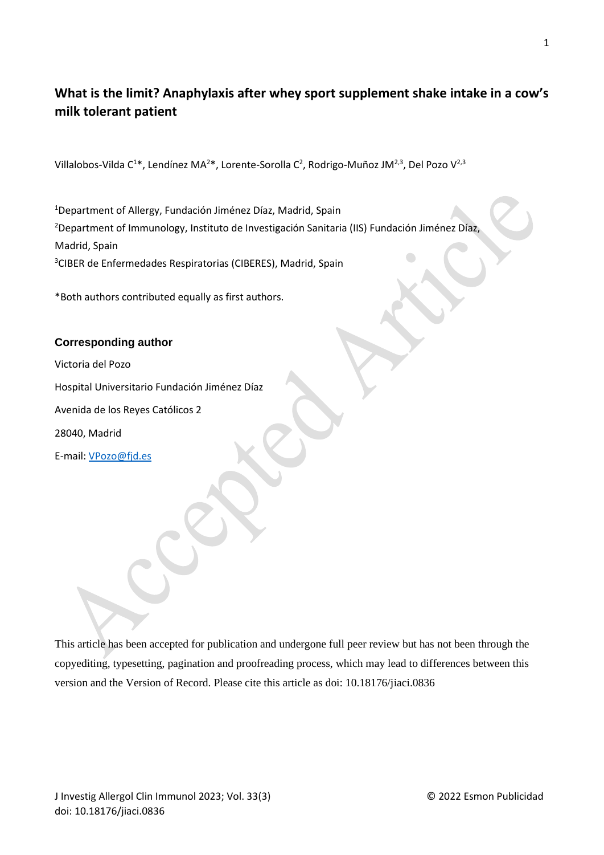# **What is the limit? Anaphylaxis after whey sport supplement shake intake in a cow's milk tolerant patient**

Villalobos-Vilda C<sup>1\*</sup>, Lendínez MA<sup>2\*</sup>, Lorente-Sorolla C<sup>2</sup>, Rodrigo-Muñoz JM<sup>2,3</sup>, Del Pozo V<sup>2,3</sup>

<sup>1</sup>Department of Allergy, Fundación Jiménez Díaz, Madrid, Spain <sup>2</sup>Department of Immunology, Instituto de Investigación Sanitaria (IIS) Fundación Jiménez Díaz, Madrid, Spain <sup>3</sup>CIBER de Enfermedades Respiratorias (CIBERES), Madrid, Spain

\*Both authors contributed equally as first authors.

### **Corresponding author**

Victoria del Pozo

Hospital Universitario Fundación Jiménez Díaz

Avenida de los Reyes Católicos 2

28040, Madrid

E-mail: [VPozo@fjd.es](mailto:VPozo@fjd.es)

This article has been accepted for publication and undergone full peer review but has not been through the copyediting, typesetting, pagination and proofreading process, which may lead to differences between this version and the Version of Record. Please cite this article as doi: 10.18176/jiaci.0836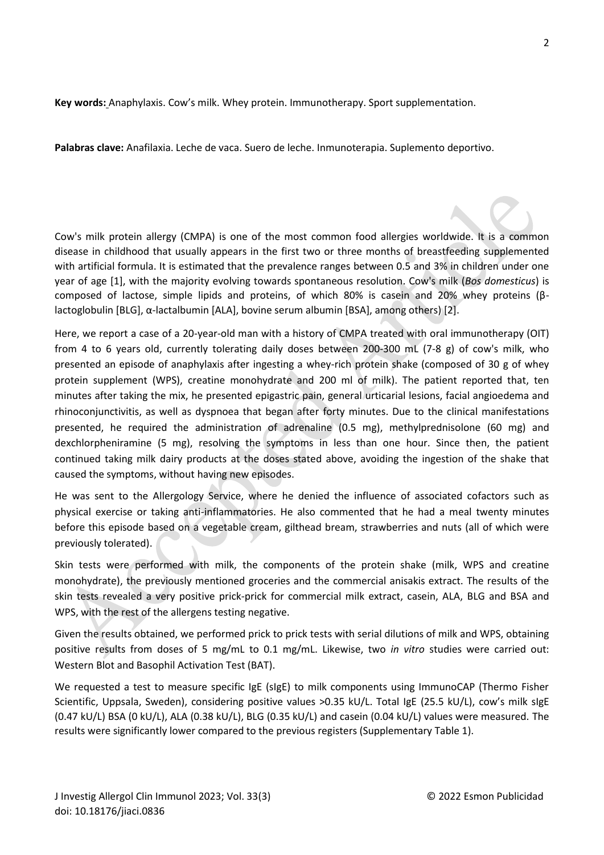**Key words:** Anaphylaxis. Cow's milk. Whey protein. Immunotherapy. Sport supplementation.

**Palabras clave:** Anafilaxia. Leche de vaca. Suero de leche. Inmunoterapia. Suplemento deportivo.

Cow's milk protein allergy (CMPA) is one of the most common food allergies worldwide. It is a common disease in childhood that usually appears in the first two or three months of breastfeeding supplemented with artificial formula. It is estimated that the prevalence ranges between 0.5 and 3% in children under one year of age [1], with the majority evolving towards spontaneous resolution. Cow's milk (*Bos domesticus*) is composed of lactose, simple lipids and proteins, of which 80% is casein and 20% whey proteins (βlactoglobulin [BLG], α-lactalbumin [ALA], bovine serum albumin [BSA], among others) [2].

Here, we report a case of a 20-year-old man with a history of CMPA treated with oral immunotherapy (OIT) from 4 to 6 years old, currently tolerating daily doses between 200-300 mL (7-8 g) of cow's milk, who presented an episode of anaphylaxis after ingesting a whey-rich protein shake (composed of 30 g of whey protein supplement (WPS), creatine monohydrate and 200 ml of milk). The patient reported that, ten minutes after taking the mix, he presented epigastric pain, general urticarial lesions, facial angioedema and rhinoconjunctivitis, as well as dyspnoea that began after forty minutes. Due to the clinical manifestations presented, he required the administration of adrenaline (0.5 mg), methylprednisolone (60 mg) and dexchlorpheniramine (5 mg), resolving the symptoms in less than one hour. Since then, the patient continued taking milk dairy products at the doses stated above, avoiding the ingestion of the shake that caused the symptoms, without having new episodes.

He was sent to the Allergology Service, where he denied the influence of associated cofactors such as physical exercise or taking anti-inflammatories. He also commented that he had a meal twenty minutes before this episode based on a vegetable cream, gilthead bream, strawberries and nuts (all of which were previously tolerated).

Skin tests were performed with milk, the components of the protein shake (milk, WPS and creatine monohydrate), the previously mentioned groceries and the commercial anisakis extract. The results of the skin tests revealed a very positive prick-prick for commercial milk extract, casein, ALA, BLG and BSA and WPS, with the rest of the allergens testing negative.

Given the results obtained, we performed prick to prick tests with serial dilutions of milk and WPS, obtaining positive results from doses of 5 mg/mL to 0.1 mg/mL. Likewise, two *in vitro* studies were carried out: Western Blot and Basophil Activation Test (BAT).

We requested a test to measure specific IgE (sIgE) to milk components using ImmunoCAP (Thermo Fisher Scientific, Uppsala, Sweden), considering positive values >0.35 kU/L. Total IgE (25.5 kU/L), cow's milk sIgE (0.47 kU/L) BSA (0 kU/L), ALA (0.38 kU/L), BLG (0.35 kU/L) and casein (0.04 kU/L) values were measured. The results were significantly lower compared to the previous registers (Supplementary Table 1).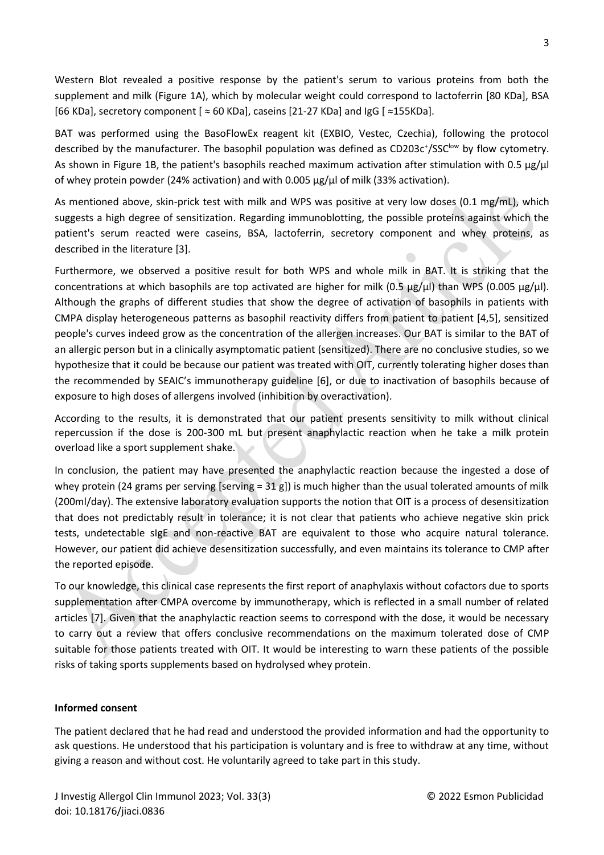Western Blot revealed a positive response by the patient's serum to various proteins from both the supplement and milk (Figure 1A), which by molecular weight could correspond to lactoferrin [80 KDa], BSA [66 KDa], secretory component [ ≈ 60 KDa], caseins [21-27 KDa] and IgG [ ≈155KDa].

BAT was performed using the BasoFlowEx reagent kit (EXBIO, Vestec, Czechia), following the protocol described by the manufacturer. The basophil population was defined as CD203c<sup>+</sup>/SSC<sup>low</sup> by flow cytometry. As shown in Figure 1B, the patient's basophils reached maximum activation after stimulation with 0.5 µg/µl of whey protein powder (24% activation) and with 0.005  $\mu$ g/ $\mu$  of milk (33% activation).

As mentioned above, skin-prick test with milk and WPS was positive at very low doses (0.1 mg/mL), which suggests a high degree of sensitization. Regarding immunoblotting, the possible proteins against which the patient's serum reacted were caseins, BSA, lactoferrin, secretory component and whey proteins, as described in the literature [3].

Furthermore, we observed a positive result for both WPS and whole milk in BAT. It is striking that the concentrations at which basophils are top activated are higher for milk (0.5  $\mu$ g/ $\mu$ l) than WPS (0.005  $\mu$ g/ $\mu$ l). Although the graphs of different studies that show the degree of activation of basophils in patients with CMPA display heterogeneous patterns as basophil reactivity differs from patient to patient [4,5], sensitized people's curves indeed grow as the concentration of the allergen increases. Our BAT is similar to the BAT of an allergic person but in a clinically asymptomatic patient (sensitized). There are no conclusive studies, so we hypothesize that it could be because our patient was treated with OIT, currently tolerating higher doses than the recommended by SEAIC's immunotherapy guideline [6], or due to inactivation of basophils because of exposure to high doses of allergens involved (inhibition by overactivation).

According to the results, it is demonstrated that our patient presents sensitivity to milk without clinical repercussion if the dose is 200-300 mL but present anaphylactic reaction when he take a milk protein overload like a sport supplement shake.

In conclusion, the patient may have presented the anaphylactic reaction because the ingested a dose of whey protein (24 grams per serving [serving =  $31$  g]) is much higher than the usual tolerated amounts of milk (200ml/day). The extensive laboratory evaluation supports the notion that OIT is a process of desensitization that does not predictably result in tolerance; it is not clear that patients who achieve negative skin prick tests, undetectable sIgE and non-reactive BAT are equivalent to those who acquire natural tolerance. However, our patient did achieve desensitization successfully, and even maintains its tolerance to CMP after the reported episode.

To our knowledge, this clinical case represents the first report of anaphylaxis without cofactors due to sports supplementation after CMPA overcome by immunotherapy, which is reflected in a small number of related articles [7]. Given that the anaphylactic reaction seems to correspond with the dose, it would be necessary to carry out a review that offers conclusive recommendations on the maximum tolerated dose of CMP suitable for those patients treated with OIT. It would be interesting to warn these patients of the possible risks of taking sports supplements based on hydrolysed whey protein.

#### **Informed consent**

The patient declared that he had read and understood the provided information and had the opportunity to ask questions. He understood that his participation is voluntary and is free to withdraw at any time, without giving a reason and without cost. He voluntarily agreed to take part in this study.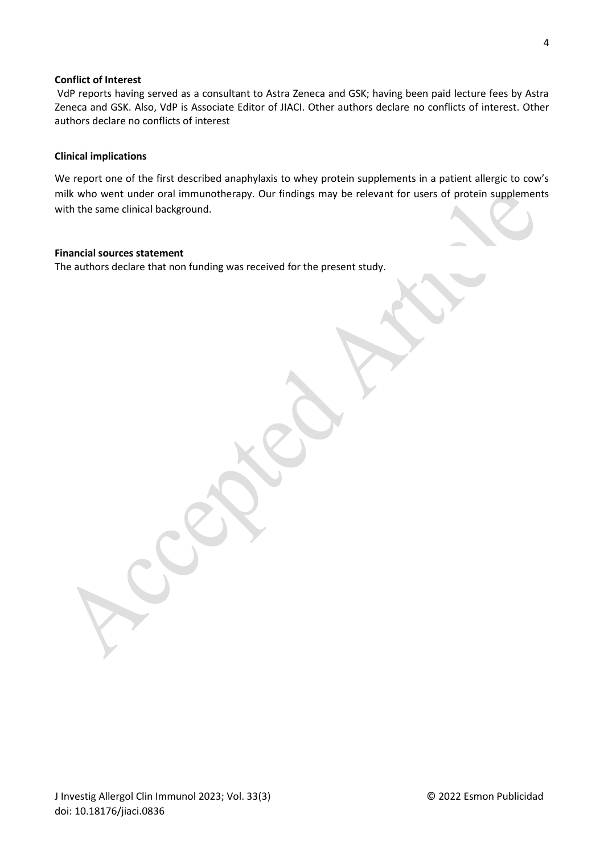#### **Conflict of Interest**

VdP reports having served as a consultant to Astra Zeneca and GSK; having been paid lecture fees by Astra Zeneca and GSK. Also, VdP is Associate Editor of JIACI. Other authors declare no conflicts of interest. Other authors declare no conflicts of interest

#### **Clinical implications**

We report one of the first described anaphylaxis to whey protein supplements in a patient allergic to cow's milk who went under oral immunotherapy. Our findings may be relevant for users of protein supplements with the same clinical background.

#### **Financial sources statement**

The authors declare that non funding was received for the present study.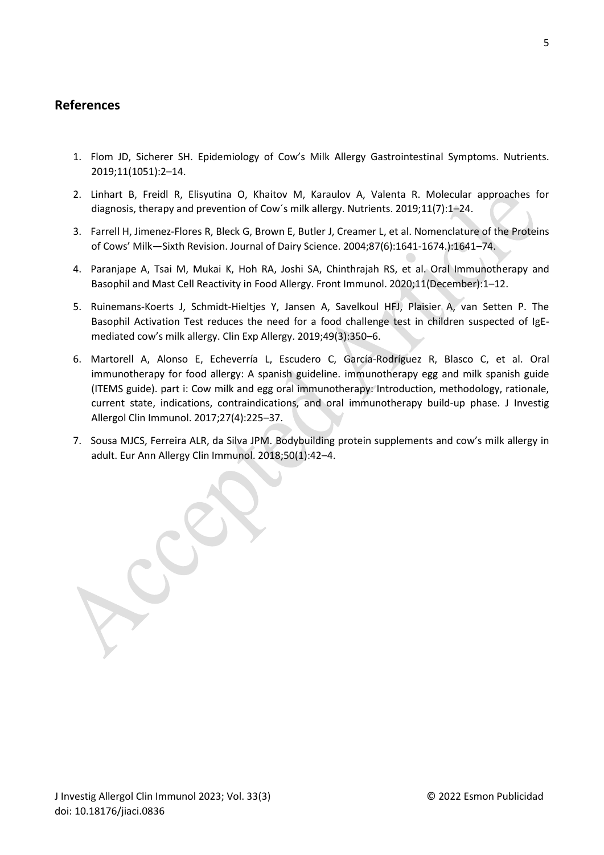## **References**

- 1. Flom JD, Sicherer SH. Epidemiology of Cow's Milk Allergy Gastrointestinal Symptoms. Nutrients. 2019;11(1051):2–14.
- 2. Linhart B, Freidl R, Elisyutina O, Khaitov M, Karaulov A, Valenta R. Molecular approaches for diagnosis, therapy and prevention of Cow´s milk allergy. Nutrients. 2019;11(7):1–24.
- 3. Farrell H, Jimenez-Flores R, Bleck G, Brown E, Butler J, Creamer L, et al. Nomenclature of the Proteins of Cows' Milk—Sixth Revision. Journal of Dairy Science. 2004;87(6):1641-1674.):1641–74.
- 4. Paranjape A, Tsai M, Mukai K, Hoh RA, Joshi SA, Chinthrajah RS, et al. Oral Immunotherapy and Basophil and Mast Cell Reactivity in Food Allergy. Front Immunol. 2020;11(December):1–12.
- 5. Ruinemans-Koerts J, Schmidt-Hieltjes Y, Jansen A, Savelkoul HFJ, Plaisier A, van Setten P. The Basophil Activation Test reduces the need for a food challenge test in children suspected of IgEmediated cow's milk allergy. Clin Exp Allergy. 2019;49(3):350–6.
- 6. Martorell A, Alonso E, Echeverría L, Escudero C, García-Rodríguez R, Blasco C, et al. Oral immunotherapy for food allergy: A spanish guideline. immunotherapy egg and milk spanish guide (ITEMS guide). part i: Cow milk and egg oral immunotherapy: Introduction, methodology, rationale, current state, indications, contraindications, and oral immunotherapy build-up phase. J Investig Allergol Clin Immunol. 2017;27(4):225–37.
- 7. Sousa MJCS, Ferreira ALR, da Silva JPM. Bodybuilding protein supplements and cow's milk allergy in adult. Eur Ann Allergy Clin Immunol. 2018;50(1):42–4.